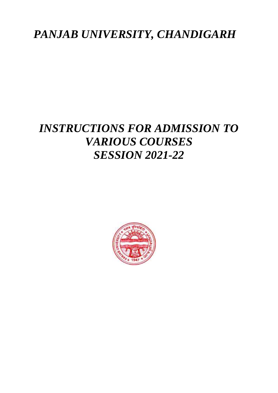# *PANJAB UNIVERSITY, CHANDIGARH*

# *INSTRUCTIONS FOR ADMISSION TO VARIOUS COURSES SESSION 2021-22*

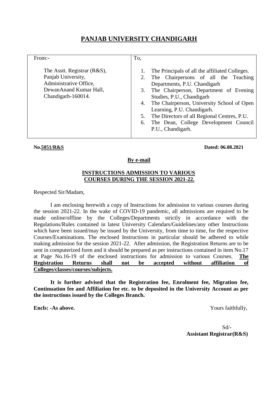# **PANJAB UNIVERSITY CHANDIGARH**

| From:-                                                                                                                      | To,                                                                                                                                                                                                                                                                                                                                                                                                            |
|-----------------------------------------------------------------------------------------------------------------------------|----------------------------------------------------------------------------------------------------------------------------------------------------------------------------------------------------------------------------------------------------------------------------------------------------------------------------------------------------------------------------------------------------------------|
| The Asstt. Registrar (R&S),<br>Panjab University,<br>Administrative Office,<br>DewanAnand Kumar Hall,<br>Chandigarh-160014. | The Principals of all the affiliated Colleges.<br>2. The Chairpersons of all the Teaching<br>Departments, P.U. Chandigarh<br>The Chairperson, Department of Evening<br>3.<br>Studies, P.U., Chandigarh<br>4. The Chairperson, University School of Open<br>Learning, P.U. Chandigarh.<br>The Directors of all Regional Centres, P.U.<br>5.<br>The Dean, College Development Council<br>6.<br>P.U., Chandigarh. |

#### **No.5051/R&S Dated: 06.08.2021**

#### **By e-mail**

## **INSTRUCTIONS ADMISSION TO VARIOUS COURSES DURING THE SESSION 2021-22.**

Respected Sir/Madam,

I am enclosing herewith a copy of Instructions for admission to various courses during the session 2021-22. In the wake of COVID-19 pandemic, all admissions are required to be made online/offline by the Colleges/Departments strictly in accordance with the Regulations/Rules contained in latest University Calendars/Guidelines/any other Instructions which have been issued/may be issued by the University, from time to time, for the respective Courses/Examinations. The enclosed Instructions in particular should be adhered to while making admission for the session 2021-22. After admission, the Registration Returns are to be sent in computerized form and it should be prepared as per instructions contained in item No.17 at Page No.16-19 of the enclosed instructions for admission to various Courses. **The Registration Returns shall not be accepted without affiliation of Colleges/classes/courses/subjects.**

**It is further advised that the Registration fee, Enrolment fee, Migration fee, Continuation fee and Affiliation fee etc. to be deposited in the University Account as per the instructions issued by the Colleges Branch.**

**Encls: -As above.** Yours faithfully,

Sd/- **Assistant Registrar(R&S)**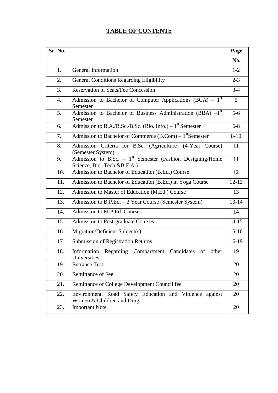# **TABLE OF CONTENTS**

| Sr. No. |                                                                                                      | Page      |
|---------|------------------------------------------------------------------------------------------------------|-----------|
|         |                                                                                                      | No.       |
| 1.      | General Information                                                                                  | $1-2$     |
| 2.      | <b>General Conditions Regarding Eligibility</b>                                                      | $2 - 3$   |
| 3.      | <b>Reservation of Seats/Fee Concession</b>                                                           | $3-4$     |
| 4.      | Admission to Bachelor of Computer Applications $(BCA) - 1st$<br>Semester                             | 5         |
| 5.      | Admission to Bachelor of Business Administration (BBA) $-1st$<br>Semester                            | $5-6$     |
| 6.      | Admission to B.A./B.Sc./B.Sc. (Bio. Info.) – $1st$ Semester                                          |           |
| 7.      | Admission to Bachelor of Commerce $(B. Com) - 1$ <sup>st</sup> Semester                              |           |
| 8.      | Admission Criteria for B.Sc. (Agriculture) (4-Year Course)<br>(Semester System)                      | 11        |
| 9.      | Admission to B.Sc. - 1 <sup>st</sup> Semester (Fashion Designing/Home<br>Science, Bio.-Tech &B.F.A.) | 11        |
| 10.     | Admission to Bachelor of Education (B.Ed.) Course                                                    | 12        |
| 11.     | Admission to Bachelor of Education (B.Ed.) in Yoga Course                                            | $12 - 13$ |
| 12.     | Admission to Master of Education (M.Ed.) Course                                                      |           |
| 13.     | Admission to B.P.Ed. - 2 Year Course (Semester System)                                               |           |
| 14.     | Admission to M.P.Ed. Course                                                                          | 14        |
| 15.     | Admission to Post-graduate Courses                                                                   | $14 - 15$ |
| 16.     | Migration/Deficient Subject(s)                                                                       | $15-16$   |
| 17.     | <b>Submission of Registration Returns</b>                                                            | 16-19     |
| 18.     | Information Regarding Compartment<br>Candidates<br>of<br>other<br>Universities                       | 19        |
| 19.     | <b>Entrance Test</b>                                                                                 | 20        |
| 20.     | <b>Remittance of Fee</b>                                                                             | 20        |
| 21.     | Remittance of College Development Council fee                                                        | 20        |
| 22.     | Environment, Road Safety Education and Violence against<br>Women & Children and Drug                 | 20        |
| 23.     | <b>Important Note</b>                                                                                | 20        |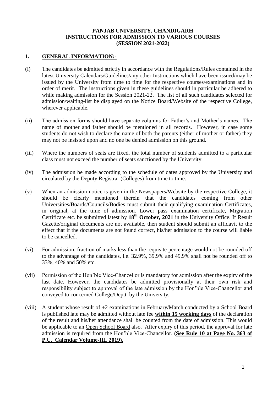# **PANJAB UNIVERSITY, CHANDIGARH INSTRUCTIONS FOR ADMISSION TO VARIOUS COURSES (SESSION 2021-2022)**

# **1. GENERAL INFORMATION:-**

- (i) The candidates be admitted strictly in accordance with the Regulations/Rules contained in the latest University Calendars/Guidelines/any other Instructions which have been issued/may be issued by the University from time to time for the respective courses/examinations and in order of merit. The instructions given in these guidelines should in particular be adhered to while making admission for the Session 2021-22. The list of all such candidates selected for admission/waiting-list be displayed on the Notice Board/Website of the respective College, wherever applicable.
- (ii) The admission forms should have separate columns for Father's and Mother's names. The name of mother and father should be mentioned in all records. However, in case some students do not wish to declare the name of both the parents (either of mother or father) they may not be insisted upon and no one be denied admission on this ground.
- (iii) Where the numbers of seats are fixed, the total number of students admitted to a particular class must not exceed the number of seats sanctioned by the University.
- (iv) The admission be made according to the schedule of dates approved by the University and circulated by the Deputy Registrar (Colleges) from time to time.
- (v) When an admission notice is given in the Newspapers/Website by the respective College, it should be clearly mentioned therein that the candidates coming from other Universities/Boards/Councils/Bodies must submit their qualifying examination Certificates, in original, at the time of admission. Lower pass examination certificate, Migration Certificate etc. be submitted latest by **18th October, 2021** in the University Office. If Result Gazette/original documents are not available, then student should submit an affidavit to the effect that if the documents are not found correct, his/her admission to the course will liable to be cancelled.
- (vi) For admission, fraction of marks less than the requisite percentage would not be rounded off to the advantage of the candidates, i.e. 32.9%, 39.9% and 49.9% shall not be rounded off to 33%, 40% and 50% etc.
- (vii) Permission of the Hon'ble Vice-Chancellor is mandatory for admission after the expiry of the last date. However, the candidates be admitted provisionally at their own risk and responsibility subject to approval of the late admission by the Hon'ble Vice-Chancellor and conveyed to concerned College/Deptt. by the University.
- (viii) A student whose result of +2 examinations in February/March conducted by a School Board is published late may be admitted without late fee **within 15 working days** of the declaration of the result and his/her attendance shall be counted from the date of admission. This would be applicable to an Open School Board also. After expiry of this period, the approval for late admission is required from the Hon'ble Vice-Chancellor. **(See Rule 10 at Page No. 363 of P.U. Calendar Volume-III, 2019).**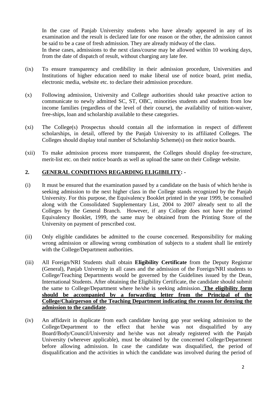In the case of Panjab University students who have already appeared in any of its examination and the result is declared late for one reason or the other, the admission cannot be said to be a case of fresh admission. They are already midway of the class.

In these cases, admissions to the next class/course may be allowed within 10 working days, from the date of dispatch of result, without charging any late fee.

- (ix) To ensure transparency and credibility in their admission procedure, Universities and Institutions of higher education need to make liberal use of notice board, print media, electronic media, website etc. to declare their admission procedure.
- (x) Following admission, University and College authorities should take proactive action to communicate to newly admitted SC, ST, OBC, minorities students and students from low income families (regardless of the level of their course), the availability of tuition-waiver, free-ships, loan and scholarship available to these categories.
- (xi) The College(s) Prospectus should contain all the information in respect of different scholarships, in detail, offered by the Panjab University to its affiliated Colleges. The Colleges should display total number of Scholarship Scheme(s) on their notice boards.
- (xii) To make admission process more transparent, the Colleges should display fee-structure, merit-list etc. on their notice boards as well as upload the same on their College website.

### **2. GENERAL CONDITIONS REGARDING ELIGIBILITY: -**

- (i) It must be ensured that the examination passed by a candidate on the basis of which he/she is seeking admission to the next higher class in the College stands recognized by the Panjab University. For this purpose, the Equivalency Booklet printed in the year 1999, be consulted along with the Consolidated Supplementary List, 2004 to 2007 already sent to all the Colleges by the General Branch. However, if any College does not have the printed Equivalency Booklet, 1999, the same may be obtained from the Printing Store of the University on payment of prescribed cost.
- (ii) Only eligible candidates be admitted to the course concerned. Responsibility for making wrong admission or allowing wrong combination of subjects to a student shall lie entirely with the College/Department authorities.
- (iii) All Foreign/NRI Students shall obtain **Eligibility Certificate** from the Deputy Registrar (General), Panjab University in all cases and the admission of the Foreign/NRI students to College/Teaching Departments would be governed by the Guidelines issued by the Dean, International Students. After obtaining the Eligibility Certificate, the candidate should submit the same to College/Department where he/she is seeking admission. **The eligibility form should be accompanied by a forwarding letter from the Principal of the College/Chairperson of the Teaching Department indicating the reason for denying the admission to the candidate**.
- (iv) An affidavit in duplicate from each candidate having gap year seeking admission to the College/Department to the effect that he/she was not disqualified by any Board/Body/Council/University and he/she was not already registered with the Panjab University (wherever applicable), must be obtained by the concerned College/Department before allowing admission. In case the candidate was disqualified, the period of disqualification and the activities in which the candidate was involved during the period of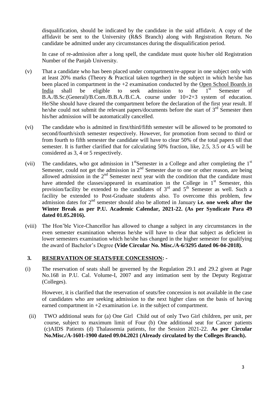disqualification, should be indicated by the candidate in the said affidavit. A copy of the affidavit be sent to the University (R&S Branch) along with Registration Return. No candidate be admitted under any circumstances during the disqualification period.

In case of re-admission after a long spell, the candidate must quote his/her old Registration Number of the Panjab University.

- (v) That a candidate who has been placed under compartment/re-appear in one subject only with at least 20% marks (Theory & Practical taken together) in the subject in which he/she has been placed in compartment in the +2 examination conducted by the Open School Boards in India shall be eligible to seek admission to the  $1<sup>st</sup>$  Semester of B.A./B.Sc.(General)/B.Com./B.B.A./B.C.A. course under 10+2+3 system of education. He/She should have cleared the compartment before the declaration of the first year result. If he/she could not submit the relevant papers/documents before the start of  $3<sup>rd</sup>$  Semester then his/her admission will be automatically cancelled.
- (vi) The candidate who is admitted in first/third/fifth semester will be allowed to be promoted to second/fourth/sixth semester respectively. However, for promotion from second to third or from fourth to fifth semester the candidate will have to clear 50% of the total papers till that semester. It is further clarified that for calculating 50% fraction, like, 2.5, 3.5 or 4.5 will be considered as 3, 4 or 5 respectively.
- (vii) The candidates, who got admission in  $1<sup>st</sup>$ Semester in a College and after completing the  $1<sup>st</sup>$ Semester, could not get the admission in 2<sup>nd</sup> Semester due to one or other reason, are being allowed admission in the  $2<sup>nd</sup>$  Semester next year with the condition that the candidate must have attended the classes/appeared in examination in the College in  $1<sup>st</sup>$  Semester, this provision/facility be extended to the candidates of  $3<sup>rd</sup>$  and  $5<sup>th</sup>$  Semester as well. Such a facility be extended to Post-Graduate students also. To overcome this problem, few admission dates for 2<sup>nd</sup> semester should also be allotted in January **i.e. one week after the Winter Break as per P.U. Academic Calendar, 2021-22. (As per Syndicate Para 49 dated 01.05.2016).**
- (viii) The Hon'ble Vice-Chancellor has allowed to change a subject in any circumstances in the even semester examination whereas he/she will have to clear that subject as deficient in lower semesters examination which he/she has changed in the higher semester for qualifying the award of Bachelor's Degree **(Vide Circular No. Misc./A-6/3295 dated 06-04-2018).**

#### **3. RESERVATION OF SEATS/FEE CONCESSION: -**

(i) The reservation of seats shall be governed by the Regulation 29.1 and 29.2 given at Page No.168 in P.U. Cal. Volume-I, 2007 and any intimation sent by the Deputy Registrar (Colleges).

However, it is clarified that the reservation of seats/fee concession is not available in the case of candidates who are seeking admission to the next higher class on the basis of having earned compartment in  $+2$  examination i.e. in the subject of compartment.

(ii) TWO additional seats for (a) One Girl Child out of only Two Girl children, per unit, per course, subject to maximum limit of Four (b) One additional seat for Cancer patients (c)AIDS Patients (d) Thalassemia patients, for the Session 2021-22. **As per Circular No.Misc./A-1601-1900 dated 09.04.2021 (Already circulated by the Colleges Branch).**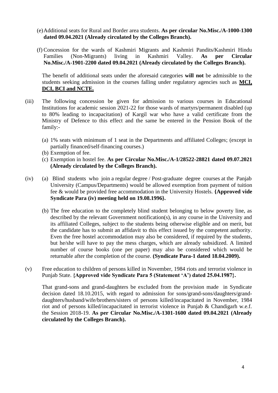- (e)Additional seats for Rural and Border area students. **As per circular No.Misc./A-1000-1300 dated 09.04.2021 (Already circulated by the Colleges Branch).**
- (f) Concession for the wards of Kashmiri Migrants and Kashmiri Pandits/Kashmiri Hindu Families (Non-Migrants) living in Kashmiri Valley. **As per Circular No.Misc./A-1901-2200 dated 09.04.2021 (Already circulated by the Colleges Branch).**

The benefit of additional seats under the aforesaid categories **will not** be admissible to the students seeking admission in the courses falling under regulatory agencies such as **MCI, DCI, BCI and NCTE.**

- (iii) The following concession be given for admission to various courses in Educational Institutions for academic session 2021-22 for those wards of martyrs/permanent disabled (up to 80% leading to incapacitation) of Kargil war who have a valid certificate from the Ministry of Defence to this effect and the same be entered in the Pension Book of the family:-
	- (a) 1% seats with minimum of 1 seat in the Departments and affiliated Colleges; (except in partially financed/self-financing courses.)
	- (b) Exemption of fee.
	- (c) Exemption in hostel fee. **As per Circular No.Misc./A-1/28522-28821 dated 09.07.2021 (Already circulated by the Colleges Branch).**
- (iv) (a) Blind students who join a regular degree / Post-graduate degree courses at the Panjab University (Campus/Departments) would be allowed exemption from payment of tuition fee & would be provided free accommodation in the University Hostels. **{Approved vide Syndicate Para (iv) meeting held on 19.08.1996}.**
	- (b) The free education to the completely blind student belonging to below poverty line, as described by the relevant Government notification(s), in any course in the University and its affiliated Colleges, subject to the students being otherwise eligible and on merit, but the candidate has to submit an affidavit to this effect issued by the competent authority. Even the free hostel accommodation may also be considered, if required by the students, but he/she will have to pay the mess charges, which are already subsidized. A limited number of course books (one per paper) may also be considered which would be returnable after the completion of the course. **(Syndicate Para-1 dated 18.04.2009).**
- (v) Free education to children of persons killed in November, 1984 riots and terrorist violence in Punjab State. **{Approved vide Syndicate Para 5 (Statement 'A') dated 25.04.1987}.**

That grand-sons and grand-daughters be excluded from the provision made in Syndicate decision dated 18.10.2015, with regard to admission for sons/grand-sons/daughters/granddaughters/husband/wife/brothers/sisters of persons killed/incapacitated in November, 1984 riot and of persons killed/incapacitated in terrorist violence in Punjab & Chandigarh w.e.f. the Session 2018-19. **As per Circular No.Misc./A-1301-1600 dated 09.04.2021 (Already circulated by the Colleges Branch).**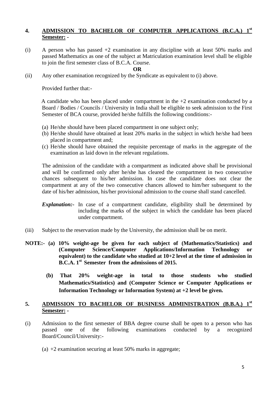# **4. ADMISSION TO BACHELOR OF COMPUTER APPLICATIONS (B.C.A.) 1st Semester: -**

(i) A person who has passed +2 examination in any discipline with at least 50% marks and passed Mathematics as one of the subject at Matriculation examination level shall be eligible to join the first semester class of B.C.A. Course.

#### **OR**

(ii) Any other examination recognized by the Syndicate as equivalent to (i) above.

Provided further that:-

A candidate who has been placed under compartment in the  $+2$  examination conducted by a Board / Bodies / Councils / University in India shall be eligible to seek admission to the First Semester of BCA course, provided he/she fulfills the following conditions:-

- (a) He/she should have been placed compartment in one subject only;
- (b) He/she should have obtained at least 20% marks in the subject in which he/she had been placed in compartment and;
- (c) He/she should have obtained the requisite percentage of marks in the aggregate of the examination as laid down in the relevant regulations.

The admission of the candidate with a compartment as indicated above shall be provisional and will be confirmed only after he/she has cleared the compartment in two consecutive chances subsequent to his/her admission. In case the candidate does not clear the compartment at any of the two consecutive chances allowed to him/her subsequent to the date of his/her admission, his/her provisional admission to the course shall stand cancelled.

- *Explanation*:- In case of a compartment candidate, eligibility shall be determined by including the marks of the subject in which the candidate has been placed under compartment.
- (iii) Subject to the reservation made by the University, the admission shall be on merit.
- **NOTE:- (a) 10% weight-age be given for each subject of (Mathematics/Statistics) and (Computer Science/Computer Applications/Information Technology or equivalent) to the candidate who studied at 10+2 level at the time of admission in B.C.A. 1st Semester from the admissions of 2015.**
	- **(b) That 20% weight-age in total to those students who studied Mathematics/Statistics) and (Computer Science or Computer Applications or Information Technology or Information System) at +2 level be given.**

# **5. ADMISSION TO BACHELOR OF BUSINESS ADMINISTRATION (B.B.A.) 1st Semester: -**

- (i) Admission to the first semester of BBA degree course shall be open to a person who has passed one of the following examinations conducted by a recognized Board/Council/University:-
	- (a)  $+2$  examination securing at least 50% marks in aggregate;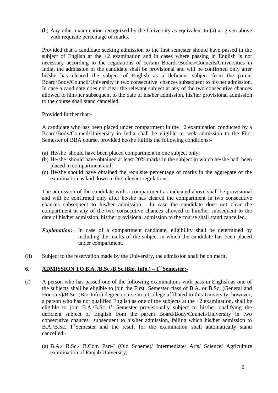(b) Any other examination recognized by the University as equivalent to (a) as given above with requisite percentage of marks.

Provided that a candidate seeking admission to the first semester should have passed in the subject of English at the  $+2$  examination and in cases where passing in English is not necessary according to the regulations of certain Boards/Bodies/Councils/Universities in India, the admission of the candidate shall be provisional and will be confirmed only after he/she has cleared the subject of English as a deficient subject from the parent Board/Body/Council/University in two consecutive chances subsequent to his/her admission. In case a candidate does not clear the relevant subject at any of the two consecutive chances allowed to him/her subsequent to the date of his/her admission, his/her provisional admission to the course shall stand cancelled.

Provided further that:-

A candidate who has been placed under compartment in the +2 examination conducted by a Board/Body/Council/University in India shall be eligible to seek admission to the First Semester of BBA course, provided he/she fulfills the following conditions:-

- (a) He/she should have been placed compartment in one subject only;
- (b) He/she should have obtained at least 20% marks in the subject in which he/she had been placed in compartment and;
- (c) He/she should have obtained the requisite percentage of marks in the aggregate of the examination as laid down in the relevant regulations.

The admission of the candidate with a compartment as indicated above shall be provisional and will be confirmed only after he/she has cleared the compartment in two consecutive chances subsequent to his/her admission. In case the candidate does not clear the compartment at any of the two consecutive chances allowed to him/her subsequent to the date of his/her admission, his/her provisional admission to the course shall stand cancelled.

- *Explanation*:- In case of a compartment candidate, eligibility shall be determined by including the marks of the subject in which the candidate has been placed under compartment.
- (ii) Subject to the reservation made by the University, the admission shall be on merit.

# **6. ADMISSION TO B.A. /B.Sc./B.Sc.(Bio. Info.) – 1 st Semester:-**

- (i) A person who has passed one of the following examinations with pass in English as one of the subjects shall be eligible to join the First Semester class of B.A. or B.Sc. (General and Honours)/B.Sc. (Bio-Info.) degree course in a College affiliated to this University, however, a person who has not qualified English as one of the subjects at the  $+2$  examination, shall be eligible to join B.A./B.Sc.-1<sup>st</sup> Semester provisionally subject to his/her qualifying the deficient subject of English from the parent Board/Body/Council/University in two consecutive chances subsequent to his/her admission, failing which his/her admission to B.A./B.Sc. 1<sup>st</sup>Semester and the result for the examination shall automatically stand cancelled:-
	- (a) B.A./ B.Sc./ B.Com Part-I (Old Scheme)/ Intermediate/ Arts/ Science/ Agriculture examination of Panjab University;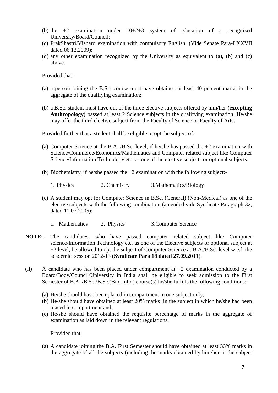- (b) the  $+2$  examination under  $10+2+3$  system of education of a recognized University/Board/Council;
- (c) PrakShastri/Vishard examination with compulsory English. (Vide Senate Para-LXXVII dated 06.12.2009);
- (d) any other examination recognized by the University as equivalent to (a), (b) and (c) above.

Provided that:-

- (a) a person joining the B.Sc. course must have obtained at least 40 percent marks in the aggregate of the qualifying examination;
- (b) a B.Sc. student must have out of the three elective subjects offered by him/her **(excepting Anthropology)** passed at least 2 Science subjects in the qualifying examination. He/she may offer the third elective subject from the Faculty of Science or Faculty of Arts**.**

Provided further that a student shall be eligible to opt the subject of:-

- (a) Computer Science at the B.A. /B.Sc. level, if he/she has passed the  $+2$  examination with Science/Commerce/Economics/Mathematics and Computer related subject like Computer Science/Information Technology etc. as one of the elective subjects or optional subjects.
- (b) Biochemistry, if he/she passed the  $+2$  examination with the following subject:-
	- 1. Physics 2. Chemistry 3. Mathematics/Biology
- (c) A student may opt for Computer Science in B.Sc. (General) (Non-Medical) as one of the elective subjects with the following combination (amended vide Syndicate Paragraph 32, dated 11.07.2005):-
	- 1. Mathematics 2. Physics 3. Computer Science
- **NOTE:-** The candidates, who have passed computer related subject like Computer science/Information Technology etc. as one of the Elective subjects or optional subject at +2 level, be allowed to opt the subject of Computer Science at B.A./B.Sc. level w.e.f. the academic session 2012-13 **(Syndicate Para 18 dated 27.09.2011**).
- (ii) A candidate who has been placed under compartment at  $+2$  examination conducted by a Board/Body/Council/University in India shall be eligible to seek admission to the First Semester of B.A. /B.Sc./B.Sc.(Bio. Info.) course(s) he/she fulfills the following conditions:**-**
	- (a) He/she should have been placed in compartment in one subject only;
	- (b) He/she should have obtained at least 20% marks in the subject in which he/she had been placed in compartment and;
	- (c) He/she should have obtained the requisite percentage of marks in the aggregate of examination as laid down in the relevant regulations.

Provided that;

(a) A candidate joining the B.A. First Semester should have obtained at least 33% marks in the aggregate of all the subjects (including the marks obtained by him/her in the subject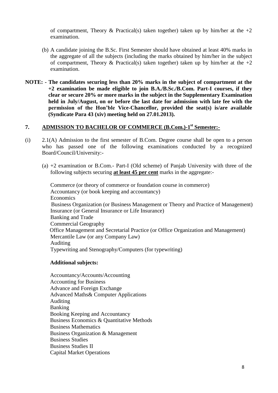of compartment, Theory & Practical(s) taken together) taken up by him/her at the  $+2$ examination.

- (b) A candidate joining the B.Sc. First Semester should have obtained at least 40% marks in the aggregate of all the subjects (including the marks obtained by him/her in the subject of compartment, Theory & Practical(s) taken together) taken up by him/her at the  $+2$ examination.
- **NOTE: - The candidates securing less than 20% marks in the subject of compartment at the +2 examination be made eligible to join B.A./B.Sc./B.Com. Part-I courses, if they clear or secure 20% or more marks in the subject in the Supplementary Examination held in July/August, on or before the last date for admission with late fee with the permission of the Hon'ble Vice-Chancellor, provided the seat(s) is/are available (Syndicate Para 43 (xiv) meeting held on 27.01.2013).**

# **7. ADMISSION TO BACHELOR OF COMMERCE (B.Com.)-1 st Semester:-**

- (i) 2.1(A) Admission to the first semester of B.Com. Degree course shall be open to a person who has passed one of the following examinations conducted by a recognized Board/Council/University:-
	- (a) +2 examination or B.Com.- Part-I (Old scheme) of Panjab University with three of the following subjects securing **at least 45 per cent** marks in the aggregate:-

Commerce (or theory of commerce or foundation course in commerce) Accountancy (or book keeping and accountancy) Economics Business Organization (or Business Management or Theory and Practice of Management) Insurance (or General Insurance or Life Insurance) Banking and Trade Commercial Geography Office Management and Secretarial Practice (or Office Organization and Management) Mercantile Law (or any Company Law) Auditing Typewriting and Stenography/Computers (for typewriting)

#### **Additional subjects:**

Accountancy/Accounts/Accounting Accounting for Business Advance and Foreign Exchange Advanced Maths& Computer Applications Auditing Banking Booking Keeping and Accountancy Business Economics & Quantitative Methods Business Mathematics Business Organization & Management Business Studies Business Studies II Capital Market Operations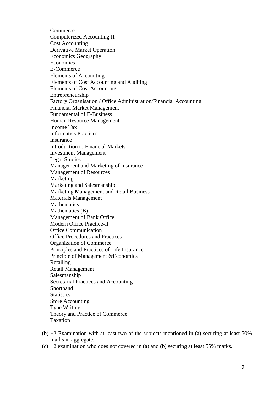**Commerce** Computerized Accounting II Cost Accounting Derivative Market Operation Economics Geography Economics E-Commerce Elements of Accounting Elements of Cost Accounting and Auditing Elements of Cost Accounting Entrepreneurship Factory Organisation / Office Administration/Financial Accounting Financial Market Management Fundamental of E-Business Human Resource Management Income Tax Informatics Practices Insurance Introduction to Financial Markets Investment Management Legal Studies Management and Marketing of Insurance Management of Resources Marketing Marketing and Salesmanship Marketing Management and Retail Business Materials Management **Mathematics** Mathematics (B) Management of Bank Office Modern Office Practice-II Office Communication Office Procedures and Practices Organization of Commerce Principles and Practices of Life Insurance Principle of Management &Economics Retailing Retail Management Salesmanship Secretarial Practices and Accounting Shorthand **Statistics** Store Accounting Type Writing Theory and Practice of Commerce Taxation

- (b) +2 Examination with at least two of the subjects mentioned in (a) securing at least 50% marks in aggregate.
- (c) +2 examination who does not covered in (a) and (b) securing at least 55% marks.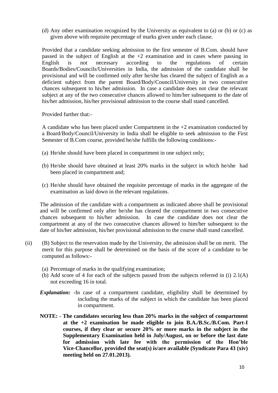(d) Any other examination recognized by the University as equivalent to (a) or (b) or (c) as given above with requisite percentage of marks given under each clause.

 Provided that a candidate seeking admission to the first semester of B.Com. should have passed in the subject of English at the +2 examination and in cases where passing in English is not necessary according to the regulations of certain Boards/Bodies/Councils/Universities in India, the admission of the candidate shall be provisional and will be confirmed only after he/she has cleared the subject of English as a deficient subject from the parent Board/Body/Council/University in two consecutive chances subsequent to his/her admission. In case a candidate does not clear the relevant subject at any of the two consecutive chances allowed to him/her subsequent to the date of his/her admission, his/her provisional admission to the course shall stand cancelled.

Provided further that:-

A candidate who has been placed under Compartment in the  $+2$  examination conducted by a Board/Body/Council/University in India shall be eligible to seek admission to the First Semester of B.Com course, provided he/she fulfills the following conditions:-

- (a) He/she should have been placed in compartment in one subject only;
- (b) He/she should have obtained at least 20% marks in the subject in which he/she had been placed in compartment and;
- (c) He/she should have obtained the requisite percentage of marks in the aggregate of the examination as laid down in the relevant regulations.

The admission of the candidate with a compartment as indicated above shall be provisional and will be confirmed only after he/she has cleared the compartment in two consecutive chances subsequent to his/her admission. In case the candidate does not clear the compartment at any of the two consecutive chances allowed to him/her subsequent to the date of his/her admission, his/her provisional admission to the course shall stand cancelled.

- (ii) (B) Subject to the reservation made by the University, the admission shall be on merit. The merit for this purpose shall be determined on the basis of the score of a candidate to be computed as follows:-
	- (a) Percentage of marks in the qualifying examination;
	- (b) Add score of 4 for each of the subjects passed from the subjects referred in (i) 2.1(A) not exceeding 16 in total.
	- **Explanation:** -In case of a compartment candidate, eligibility shall be determined by including the marks of the subject in which the candidate has been placed in compartment.
	- **NOTE: - The candidates securing less than 20% marks in the subject of compartment at the +2 examination be made eligible to join B.A./B.Sc./B.Com. Part-I courses, if they clear or secure 20% or more marks in the subject in the Supplementary Examination held in July/August, on or before the last date for admission with late fee with the permission of the Hon'ble Vice-Chancellor, provided the seat(s) is/are available (Syndicate Para 43 (xiv) meeting held on 27.01.2013).**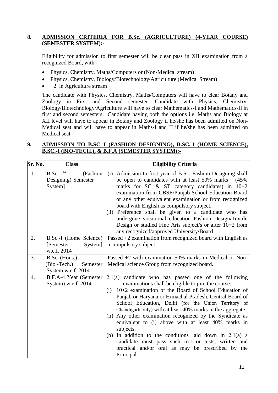# **8. ADMISSION CRITERIA FOR B.Sc. (AGRICULTURE) (4-YEAR COURSE) (SEMESTER SYSTEM):-**

Eligibility for admission to first semester will be clear pass in XII examination from a recognized Board, with:-

- Physics, Chemistry, Maths/Computers or (Non-Medical stream)
- Physics, Chemistry, Biology/Biotechnology/Agriculture (Medical Stream)
- $\bullet$  +2 in Agriculture stream

The candidate with Physics, Chemistry, Maths/Computers will have to clear Botany and Zoology in First and Second semester. Candidate with Physics, Chemistry, Biology/Biotechnology/Agriculture will have to clear Mathematics-I and Mathematics-II in first and second semesters. Candidate having both the options i.e. Maths and Biology at XII level will have to appear in Botany and Zoology if he/she has been admitted on Non-Medical seat and will have to appear in Maths-I and II if he/she has been admitted on Medical seat.

# **9. ADMISSION TO B.SC.-I (FASHION DESIGNING), B.SC.-I (HOME SCIENCE), B.SC.-I (BIO-TECH.), & B.F.A (SEMESTER SYSTEM):-**

| Sr. No. | <b>Class</b>                                                      | <b>Eligibility Criteria</b>                                                                                                                                                                                                                                                                                                                                                                                                                                                                                                                                                                                                                                                                 |  |
|---------|-------------------------------------------------------------------|---------------------------------------------------------------------------------------------------------------------------------------------------------------------------------------------------------------------------------------------------------------------------------------------------------------------------------------------------------------------------------------------------------------------------------------------------------------------------------------------------------------------------------------------------------------------------------------------------------------------------------------------------------------------------------------------|--|
| 1.      | $B.Sc.-1st$<br>(Fashion<br>Designing)[Semester<br>System]         | Admission to first year of B.Sc. Fashion Designing shall<br>(i)<br>be open to candidates with at least 50% marks<br>(45%<br>marks for SC & ST category candidates) in 10+2<br>examination from CBSE/Punjab School Education Board<br>or any other equivalent examination or from recognized<br>board with English as compulsory subject.<br>(ii) Preference shall be given to a candidate who has<br>undergone vocational education Fashion Design/Textile<br>Design or studied Fine Arts subject/s or after $10+2$ from<br>any recognized/approved University/Board.                                                                                                                       |  |
| 2.      | B.Sc.-I (Home Science)<br>[Semester]<br>System]<br>w.e.f. 2014    | Passed +2 examination from recognized board with English as<br>a compulsory subject.                                                                                                                                                                                                                                                                                                                                                                                                                                                                                                                                                                                                        |  |
| 3.      | B.Sc. (Hons.)-I<br>(Bio.-Tech.)<br>Semester<br>System w.e.f. 2014 | Passed $+2$ with examination 50% marks in Medical or Non-<br>Medical science Group from recognized board.                                                                                                                                                                                                                                                                                                                                                                                                                                                                                                                                                                                   |  |
| 4.      | B.F.A-4 Year (Semester<br>System) w.e.f. 2014                     | $2.1(a)$ candidate who has passed one of the following<br>examinations shall be eligible to join the course:-<br>$10+2$ examination of the Board of School Education of<br>(i)<br>Panjab or Haryana or Himachal Pradesh, Central Board of<br>School Education, Delhi (for the Union Territory of<br>Chandigarh only) with at least 40% marks in the aggregate.<br>Any other examination recognized by the Syndicate as<br>(ii)<br>equivalent to (i) above with at least 40% marks in<br>subjects.<br>In addition to the conditions laid down in $2.1(a)$ a<br>(b)<br>candidate must pass such test or tests, written and<br>practical and/or oral as may be prescribed by the<br>Principal. |  |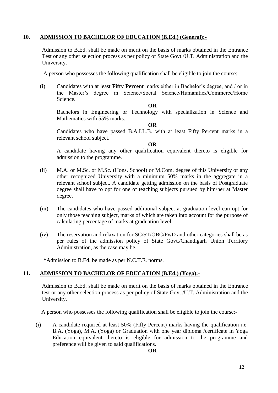# **10. ADMISSION TO BACHELOR OF EDUCATION (B.Ed.) (General):-**

Admission to B.Ed. shall be made on merit on the basis of marks obtained in the Entrance Test or any other selection process as per policy of State Govt./U.T. Administration and the University.

A person who possesses the following qualification shall be eligible to join the course:

(i) Candidates with at least **Fifty Percent** marks either in Bachelor's degree, and / or in the Master's degree in Science/Social Science/Humanities/Commerce/Home Science.

#### **OR**

Bachelors in Engineering or Technology with specialization in Science and Mathematics with 55% marks.

#### **OR**

Candidates who have passed B.A.LL.B. with at least Fifty Percent marks in a relevant school subject.

#### **OR**

A candidate having any other qualification equivalent thereto is eligible for admission to the programme.

- (ii) M.A. or M.Sc. or M.Sc. (Hons. School) or M.Com. degree of this University or any other recognized University with a minimum 50% marks in the aggregate in a relevant school subject. A candidate getting admission on the basis of Postgraduate degree shall have to opt for one of teaching subjects pursued by him/her at Master degree.
- (iii) The candidates who have passed additional subject at graduation level can opt for only those teaching subject, marks of which are taken into account for the purpose of calculating percentage of marks at graduation level.
- (iv) The reservation and relaxation for SC/ST/OBC/PwD and other categories shall be as per rules of the admission policy of State Govt./Chandigarh Union Territory Administration, as the case may be.

**\***Admission to B.Ed. be made as per N.C.T.E. norms.

# **11. ADMISSION TO BACHELOR OF EDUCATION (B.Ed.) (Yoga):-**

Admission to B.Ed. shall be made on merit on the basis of marks obtained in the Entrance test or any other selection process as per policy of State Govt./U.T. Administration and the University.

A person who possesses the following qualification shall be eligible to join the course:-

(i) A candidate required at least 50% (Fifty Percent) marks having the qualification i.e. B.A. (Yoga), M.A. (Yoga) or Graduation with one year diploma /certificate in Yoga Education equivalent thereto is eligible for admission to the programme and preference will be given to said qualifications.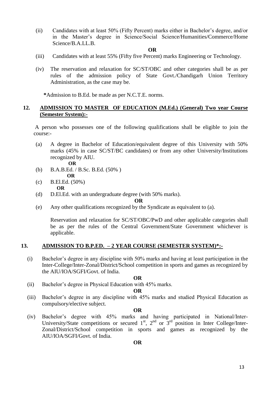(ii) Candidates with at least 50% (Fifty Percent) marks either in Bachelor's degree, and/or in the Master's degree in Science/Social Science/Humanities/Commerce/Home Science/B.A.LL.B.

#### **OR**

- (iii) Candidates with at least 55% (Fifty five Percent) marks Engineering or Technology.
- (iv) The reservation and relaxation for SC/ST/OBC and other categories shall be as per rules of the admission policy of State Govt./Chandigarh Union Territory Administration, as the case may be.

**\***Admission to B.Ed. be made as per N.C.T.E. norms.

#### **12. ADMISSION TO MASTER OF EDUCATION (M.Ed.) (General) Two year Course (Semester System):-**

A person who possesses one of the following qualifications shall be eligible to join the course:-

- (a) A degree in Bachelor of Education/equivalent degree of this University with 50% marks (45% in case SC/ST/BC candidates) or from any other University/Institutions recognized by AIU.
	- **OR**
- (b) B.A.B.Ed. / B.Sc. B.Ed. (50% )  **OR**
- (c) B.El.Ed. (50%) **OR**
- (d) D.El.Ed. with an undergraduate degree (with 50% marks).

**OR**

(e) Any other qualifications recognized by the Syndicate as equivalent to (a).

Reservation and relaxation for SC/ST/OBC/PwD and other applicable categories shall be as per the rules of the Central Government/State Government whichever is applicable.

#### **13. ADMISSION TO B.P.ED. – 2 YEAR COURSE (SEMESTER SYSTEM)\*:-**

(i) Bachelor's degree in any discipline with 50% marks and having at least participation in the Inter-College/Inter-Zonal/District/School competition in sports and games as recognized by the AIU/IOA/SGFI/Govt. of India.

#### **OR**

(ii) Bachelor's degree in Physical Education with 45% marks.

#### **OR**

(iii) Bachelor's degree in any discipline with 45% marks and studied Physical Education as compulsory/elective subject.

#### **OR**

(iv) Bachelor's degree with 45% marks and having participated in National/Inter-University/State competitions or secured  $1<sup>st</sup>$ ,  $2<sup>nd</sup>$  or  $3<sup>rd</sup>$  position in Inter College/Inter-Zonal/District/School competition in sports and games as recognized by the AIU/IOA/SGFI/Govt. of India.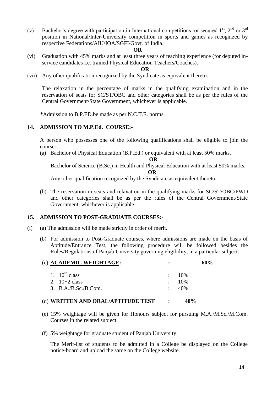(v) Bachelor's degree with participation in International competitions or secured  $1<sup>st</sup>$ ,  $2<sup>nd</sup>$  or  $3<sup>rd</sup>$ position in National/Inter-University competition in sports and games as recognized by respective Federations/AIU/IOA/SGFI/Govt. of India.

#### **OR**

(vi) Graduation with 45% marks and at least three years of teaching experience (for deputed inservice candidates i.e. trained Physical Education Teachers/Coaches).

**OR**

(vii) Any other qualification recognized by the Syndicate as equivalent thereto.

The relaxation in the percentage of marks in the qualifying examination and in the reservation of seats for SC/ST/OBC and other categories shall be as per the rules of the Central Government/State Government, whichever is applicable.

**\***Admission to B.P.ED.be made as per N.C.T.E. norms.

#### **14. ADMISSION TO M.P.Ed. COURSE:-**

A person who possesses one of the following qualifications shall be eligible to join the course:-

(a) Bachelor of Physical Education (B.P.Ed.) or equivalent with at least 50% marks.

**OR**

Bachelor of Science (B.Sc.) in Health and Physical Education with at least 50% marks.

 **OR**

Any other qualification recognized by the Syndicate as equivalent thereto.

(b) The reservation in seats and relaxation in the qualifying marks for SC/ST/OBC/PWD and other categories shall be as per the rules of the Central Government/State Government, whichever is applicable.

#### **15. ADMISSION TO POST-GRADUATE COURSES:-**

- (i) (a) The admission will be made strictly in order of merit.
	- (b) For admission to Post-Graduate courses, where admissions are made on the basis of Aptitude/Entrance Test, the following procedure will be followed besides the Rules/Regulations of Panjab University governing eligibility, in a particular subject.

| (c) ACADEMIC WEIGHTAGE: -            | $\mathbf{r}$ | 60%              |  |
|--------------------------------------|--------------|------------------|--|
| 1. $10^{\text{th}}$ class            |              | $\therefore$ 10% |  |
| 2. $10+2$ class                      |              | $\therefore$ 10% |  |
| 3. $B.A./B.Sc./B.Com.$               |              | $\div$ 40%       |  |
| (d) WRITTEN AND ORAL/APTITUDE TEST : |              | 40%              |  |

- (e) 15% weightage will be given for Honours subject for pursuing M.A./M.Sc./M.Com. Courses in the related subject.
- (f) 5% weightage for graduate student of Panjab University.

The Merit-list of students to be admitted in a College be displayed on the College notice-board and upload the same on the College website.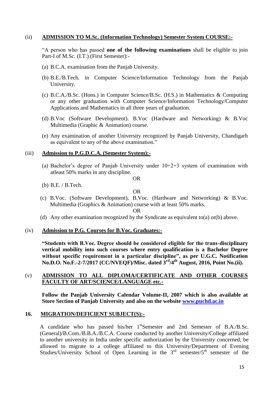#### (ii) **ADMISSION TO M.Sc. (Information Technology) Semester System COURSE:-**

"A person who has passed **one of the following examinations** shall be eligible to join Part-I of M.Sc. (I.T.) (First Semester):-

- (a) B.C.A. examination from the Panjab University.
- (b) B.E./B.Tech. in Computer Science/Information Technology from the Panjab University.
- (c) B.C.A./B.Sc. (Hons.) in Computer Science/B.Sc. (H.S.) in Mathematics & Computing or any other graduation with Computer Science/Information Technology/Computer Applications and Mathematics in all three years of graduation.
- (d) B.Voc (Software Development). B.Voc (Hardware and Networking) & B.Voc Multimedia (Graphic & Animation) course.
- (e) Any examination of another University recognized by Panjab University, Chandigarh as equivalent to any of the above examination."

#### (iii) **Admission to P.G.D.C.A. (Semester System):-**

- (a) Bachelor's degree of Panjab University under  $10+2+3$  system of examination with atleast 50% marks in any discipline.
- (b) B.E. / B.Tech.

OR

OR

(c) B.Voc. (Software Development), B.Voc. (Hardware and Networking) & B.Voc. Multimedia (Graphics & Animation) course with at least 50% marks.

#### OR

(d) Any other examination recognized by the Syndicate as equivalent to(a) or(b) above.

#### (iv) **Admission to P.G. Courses for B.Voc. Graduates:-**

**"Students with B.Voc. Degree should be considered eligible for the trans-disciplinary vertical mobility into such courses where entry qualification is a Bachelor Degree without specific requirement in a particular discipline", as per U.G.C. Notification No.D.O. No.F.-2-7/2017 (CC/NVEQF)/Misc. dated 3rd/4th August, 2016, Point No.(ii).**

### (v) **ADMISSION TO ALL DIPLOMA/CERTIFICATE AND OTHER COURSES FACULTY OF ART/SCIENCE/LANGUAGE etc.-**

**Follow the Panjab University Calendar Volume-II, 2007 which is also available at Store Section of Panjab University and also on the website [www.puchd.ac.in](http://www.puchd.ac.in/)**

#### **16. MIGRATION/DEFICIENT SUBJECT(S):-**

A candidate who has passed his/her 1<sup>st</sup>Semester and 2nd Semester of B.A./B.Sc. (General)/B.Com./B.B.A./B.C.A. Course conducted by another University/College affiliated to another university in India under specific authorization by the University concerned, be allowed to migrate to a college affiliated to this University/Department of Evening Studies/University School of Open Learning in the  $3^{rd}$  semester/ $5^{th}$  semester of the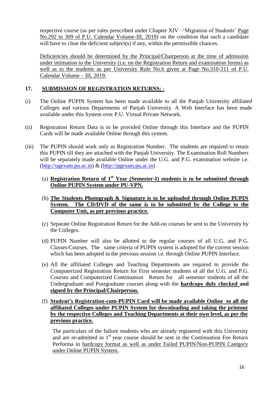respective course (as per rules prescribed under Chapter XIV –'Migration of Students' Page No.292 to 309 of P.U. Calendar Volume-III, 2019) on the condition that such a candidate will have to clear the deficient subject(s) if any, within the permissible chances.

Deficiencies should be determined by the Principal/Chairperson at the time of admission under intimation to the University (i.e. on the Registration Return and examination forms) as well as to the students as per University Rule No.6 given at Page No.310-311 of P.U. Calendar Volume – III, 2019.

# **17. SUBMISSION OF REGISTRATION RETURNS: -**

- (i) The Online PUPIN System has been made available to all the Panjab University affiliated Colleges and various Departments of Panjab University. A Web Interface has been made available under this System over P.U. Virtual Private Network.
- (ii) Registration Return Data is to be provided Online through this Interface and the PUPIN Cards will be made available Online through this system.
- (iii) The PUPIN should work only as Registration Number. The students are required to retain this PUPIN till they are attached with the Panjab University. The Examination Roll Numbers will be separately made available Online under the U.G. and P.G. examination website i.e. [\(http://ugexam.pu.ac.in\)](http://ugexam.pu.ac.in/) & [\(http://pgexam.pu.ac.in\)](http://pgexam.pu.ac.in/)

# (a) **Registration Return of 1st Year (Semester-I) students is to be submitted through Online PUPIN System under PU-VPN.**

- (b) **The Students Photograph & Signature is to be uploaded through Online PUPIN System. The CD/DVD of the same is to be submitted by the College to the Computer Unit, as per previous practice.**
- (c) Separate Online Registration Return for the Add-on courses be sent to the University by the Colleges.
- (d) PUPIN Number will also be allotted to the regular courses of all U.G. and P.G. Classes/Courses. The same criteria of PUPIN system is adopted for the current session which has been adopted in the previous session i.e. through Online PUPIN Interface.
- (e) All the affiliated Colleges and Teaching Departments are required to provide the Computerized Registration Return for First semester students of all the U.G. and P.G. Courses and Computerized Continuation Return for all semester students of all the Undergraduate and Postgraduate courses along with the **hardcopy duly checked and signed by the Principal/Chairperson.**
- (f) **Student's Registration-cum-PUPIN Card will be made available Online to all the affiliated Colleges under PUPIN System for downloading and taking the printout by the respective Colleges and Teaching Departments at their own level, as per the previous practice.**

The particulars of the failure students who are already registered with this University and are re-admitted in 1<sup>st</sup> year course should be sent in the Continuation Fee Return Performa in hardcopy format as well as under Failed PUPIN/Non-PUPIN Category under Online PUPIN System.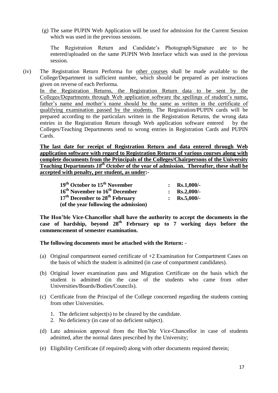(g) The same PUPIN Web Application will be used for admission for the Current Session which was used in the previous sessions.

The Registration Return and Candidate's Photograph/Signature are to be entered/uploaded on the same PUPIN Web Interface which was used in the previous session.

(iv) The Registration Return Performa for other courses shall be made available to the College/Department in sufficient number, which should be prepared as per instructions given on reverse of each Performa. In the Registration Returns, the Registration Return data to be sent by the

Colleges/Departments through Web application software the spellings of student's name, father's name and mother's name should be the same as written in the certificate of qualifying examination passed by the students. The Registration/PUPIN cards will be prepared according to the particulars written in the Registration Returns, the wrong data entries in the Registration Return through Web application software entered by the Colleges/Teaching Departments send to wrong entries in Registration Cards and PUPIN Cards.

**The last date for receipt of Registration Return and data entered through Web application software with regard to Registration Returns of various courses along with complete documents from the Principals of the Colleges/Chairpersons of the University Teaching Departments** *18th October* **of the year of admission. Thereafter, these shall be accepted with penalty, per student, as under:-**

| $19th$ October to $15th$ November                      | : $Rs.1,000/-$        |
|--------------------------------------------------------|-----------------------|
| 16 <sup>th</sup> November to 16 <sup>th</sup> December | : $\text{Rs.}2,000/-$ |
| 17 <sup>th</sup> December to 28 <sup>th</sup> February | : $\text{Rs.}5,000/-$ |
| (of the year following the admission)                  |                       |

**The Hon'ble Vice-Chancellor shall have the authority to accept the documents in the case of hardship, beyond 28th February up to 7 working days before the commencement of semester examination.**

**The following documents must be attached with the Return:** -

- (a) Original compartment earned certificate of +2 Examination for Compartment Cases on the basis of which the student is admitted (in case of compartment candidates).
- (b) Original lower examination pass and Migration Certificate on the basis which the student is admitted (in the case of the students who came from other Universities/Boards/Bodies/Councils).
- (c) Certificate from the Principal of the College concerned regarding the students coming from other Universities.
	- 1. The deficient subject(s) to be cleared by the candidate.
	- 2. No deficiency (in case of no deficient subject).
- (d) Late admission approval from the Hon'ble Vice-Chancellor in case of students admitted, after the normal dates prescribed by the University;
- (e) Eligibility Certificate (if required) along with other documents required therein;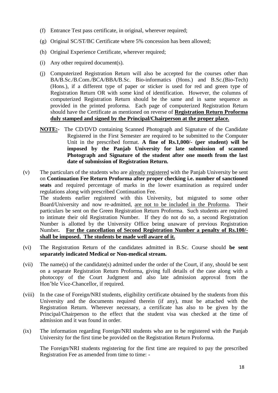- (f) Entrance Test pass certificate, in original, wherever required;
- (g) Original SC/ST/BC Certificate where 5% concession has been allowed;
- (h) Original Experience Certificate, wherever required;
- (i) Any other required document(s).
- (j) Computerized Registration Return will also be accepted for the courses other than BA/B.Sc./B.Com./BCA/BBA/B.Sc. Bio-informatics (Hons.) and B.Sc.(Bio-Tech) (Hons.), if a different type of paper or sticker is used for red and green type of Registration Return OR with some kind of identification. However, the columns of computerized Registration Return should be the same and in same sequence as provided in the printed proforma. Each page of computerized Registration Return should have the Certificate as mentioned on reverse of **Registration Return Proforma duly stamped and signed by the Principal/Chairperson at the proper place.**
- **NOTE:** The CD/DVD containing Scanned Photograph and Signature of the Candidate Registered in the First Semester are required to be submitted to the Computer Unit in the prescribed format. **A fine of Rs.1,000/- (per student) will be imposed by the Panjab University for late submission of scanned Photograph and Signature of the student after one month from the last date of submission of Registration Return.**
- (v) The particulars of the students who are already registered with the Panjab University be sent on **Continuation Fee Return Proforma after proper checking i.e. number of sanctioned seats** and required percentage of marks in the lower examination as required under regulations along with prescribed Continuation Fee. The students earlier registered with this University, but migrated to some other Board/University and now re-admitted, are not to be included in the Proforma. Their particulars be sent on the Green Registration Return Proforma. Such students are required to intimate their old Registration Number. If they do not do so, a second Registration Number is allotted by the University Office being unaware of previous Registration Number**. For the cancellation of Second Registration Number a penalty of Rs.100/ shall be imposed. The students be made well aware of it.**
- (vi) The Registration Return of the candidates admitted in B.Sc. Course should **be sent separately indicated Medical or Non-medical stream.**
- (vii) The name(s) of the candidate(s) admitted under the order of the Court, if any, should be sent on a separate Registration Return Proforma, giving full details of the case along with a photocopy of the Court Judgment and also late admission approval from the Hon'ble Vice-Chancellor, if required.
- (viii) In the case of Foreign/NRI students, eligibility certificate obtained by the students from this University and the documents required therein (if any), must be attached with the Registration Return. Wherever necessary, a certificate has also to be given by the Principal/Chairperson to the effect that the student visa was checked at the time of admission and it was found in order.
- (ix) The information regarding Foreign/NRI students who are to be registered with the Panjab University for the first time be provided on the Registration Return Proforma.

 The Foreign/NRI students registering for the first time are required to pay the prescribed Registration Fee as amended from time to time: -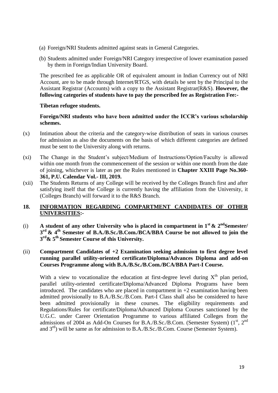- (a) Foreign/NRI Students admitted against seats in General Categories.
- (b) Students admitted under Foreign/NRI Category irrespective of lower examination passed by them in Foreign/Indian University Board.

The prescribed fee as applicable OR of equivalent amount in Indian Currency out of NRI Account, are to be made through Internet/RTGS, with details be sent by the Principal to the Assistant Registrar (Accounts) with a copy to the Assistant Registrar(R&S). **However, the following categories of students have to pay the prescribed fee as Registration Fee:-**

### **Tibetan refugee students.**

**Foreign/NRI students who have been admitted under the ICCR's various scholarship schemes.**

- (x) Intimation about the criteria and the category-wise distribution of seats in various courses for admission as also the documents on the basis of which different categories are defined must be sent to the University along with returns.
- (xi) The Change in the Student's subject/Medium of Instructions/Option/Faculty is allowed within one month from the commencement of the session or within one month from the date of joining, whichever is later as per the Rules mentioned in **Chapter XXIII Page No.360- 361, P.U. Calendar Vol.- III, 2019.**
- (xii) The Students Returns of any College will be received by the Colleges Branch first and after satisfying itself that the College is currently having the affiliation from the University, it (Colleges Branch) will forward it to the R&S Branch.

# **18. INFORMATION REGARDING COMPARTMENT CANDIDATES OF OTHER UNIVERSITIES:-**

(i) A student of any other University who is placed in compartment in  $1<sup>st</sup>$  &  $2<sup>nd</sup>$ Semester/ **3 rd & 4th Semester of B.A./B.Sc./B.Com./BCA/BBA Course be not allowed to join the 3 rd& 5th Semester Course of this University.**

# (ii) **Compartment Candidates of +2 Examination seeking admission to first degree level running parallel utility-oriented certificate/Diploma/Advances Diploma and add-on Courses Programme along with B.A./B.Sc./B.Com./BCA/BBA Part-I Course.**

With a view to vocationalize the education at first-degree level during  $X<sup>th</sup>$  plan period, parallel utility-oriented certificate/Diploma/Advanced Diploma Programs have been introduced. The candidates who are placed in compartment in  $+2$  examination having been admitted provisionally to B.A./B.Sc./B.Com. Part-I Class shall also be considered to have been admitted provisionally in these courses. The eligibility requirements and Regulations/Rules for certificate/Diploma/Advanced Diploma Courses sanctioned by the U.G.C. under Career Orientation Programme to various affiliated Colleges from the admissions of 2004 as Add-On Courses for B.A./B.Sc./B.Com. (Semester System)  $(1<sup>st</sup>, 2<sup>nd</sup>)$ and  $3<sup>rd</sup>$ ) will be same as for admission to B.A./B.Sc./B.Com. Course (Semester System).